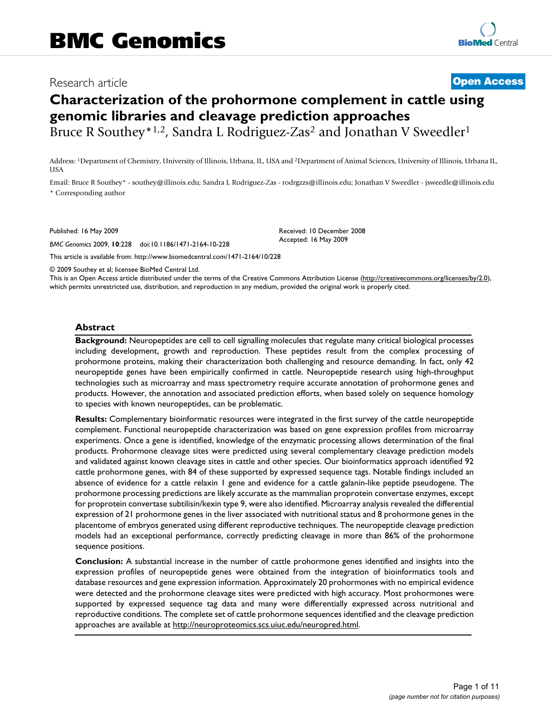# Research article **[Open Access](http://www.biomedcentral.com/info/about/charter/)**

# **Characterization of the prohormone complement in cattle using genomic libraries and cleavage prediction approaches** Bruce R Southey\*<sup>1,2</sup>, Sandra L Rodriguez-Zas<sup>2</sup> and Jonathan V Sweedler<sup>1</sup>

Address: 1Department of Chemistry, University of Illinois, Urbana, IL, USA and 2Department of Animal Sciences, University of Illinois, Urbana IL, **USA** 

Email: Bruce R Southey\* - southey@illinois.edu; Sandra L Rodriguez-Zas - rodrgzzs@illinois.edu; Jonathan V Sweedler - jsweedle@illinois.edu \* Corresponding author

> Received: 10 December 2008 Accepted: 16 May 2009

Published: 16 May 2009

*BMC Genomics* 2009, **10**:228 doi:10.1186/1471-2164-10-228

[This article is available from: http://www.biomedcentral.com/1471-2164/10/228](http://www.biomedcentral.com/1471-2164/10/228)

© 2009 Southey et al; licensee BioMed Central Ltd.

This is an Open Access article distributed under the terms of the Creative Commons Attribution License [\(http://creativecommons.org/licenses/by/2.0\)](http://creativecommons.org/licenses/by/2.0), which permits unrestricted use, distribution, and reproduction in any medium, provided the original work is properly cited.

#### **Abstract**

**Background:** Neuropeptides are cell to cell signalling molecules that regulate many critical biological processes including development, growth and reproduction. These peptides result from the complex processing of prohormone proteins, making their characterization both challenging and resource demanding. In fact, only 42 neuropeptide genes have been empirically confirmed in cattle. Neuropeptide research using high-throughput technologies such as microarray and mass spectrometry require accurate annotation of prohormone genes and products. However, the annotation and associated prediction efforts, when based solely on sequence homology to species with known neuropeptides, can be problematic.

**Results:** Complementary bioinformatic resources were integrated in the first survey of the cattle neuropeptide complement. Functional neuropeptide characterization was based on gene expression profiles from microarray experiments. Once a gene is identified, knowledge of the enzymatic processing allows determination of the final products. Prohormone cleavage sites were predicted using several complementary cleavage prediction models and validated against known cleavage sites in cattle and other species. Our bioinformatics approach identified 92 cattle prohormone genes, with 84 of these supported by expressed sequence tags. Notable findings included an absence of evidence for a cattle relaxin 1 gene and evidence for a cattle galanin-like peptide pseudogene. The prohormone processing predictions are likely accurate as the mammalian proprotein convertase enzymes, except for proprotein convertase subtilisin/kexin type 9, were also identified. Microarray analysis revealed the differential expression of 21 prohormone genes in the liver associated with nutritional status and 8 prohormone genes in the placentome of embryos generated using different reproductive techniques. The neuropeptide cleavage prediction models had an exceptional performance, correctly predicting cleavage in more than 86% of the prohormone sequence positions.

**Conclusion:** A substantial increase in the number of cattle prohormone genes identified and insights into the expression profiles of neuropeptide genes were obtained from the integration of bioinformatics tools and database resources and gene expression information. Approximately 20 prohormones with no empirical evidence were detected and the prohormone cleavage sites were predicted with high accuracy. Most prohormones were supported by expressed sequence tag data and many were differentially expressed across nutritional and reproductive conditions. The complete set of cattle prohormone sequences identified and the cleavage prediction approaches are available at [http://neuroproteomics.scs.uiuc.edu/neuropred.html.](http://neuroproteomics.scs.uiuc.edu/neuropred.html)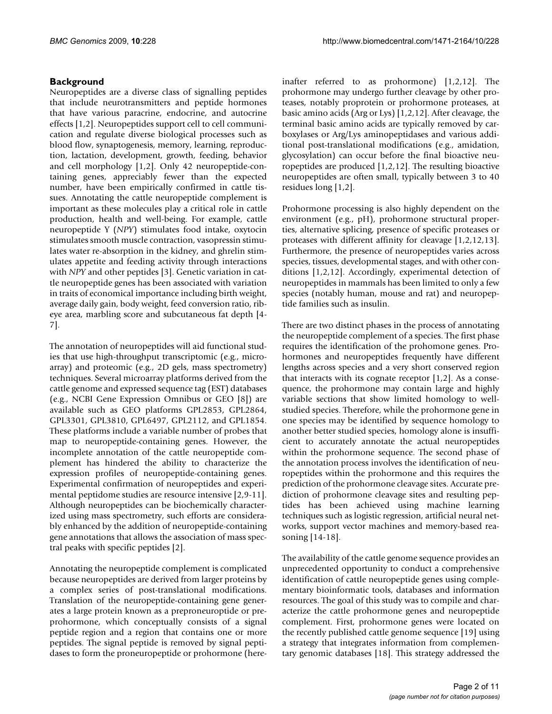# **Background**

Neuropeptides are a diverse class of signalling peptides that include neurotransmitters and peptide hormones that have various paracrine, endocrine, and autocrine effects [[1](#page-9-0),[2](#page-9-1)]. Neuropeptides support cell to cell communication and regulate diverse biological processes such as blood flow, synaptogenesis, memory, learning, reproduction, lactation, development, growth, feeding, behavior and cell morphology [[1](#page-9-0),[2](#page-9-1)]. Only 42 neuropeptide-containing genes, appreciably fewer than the expected number, have been empirically confirmed in cattle tissues. Annotating the cattle neuropeptide complement is important as these molecules play a critical role in cattle production, health and well-being. For example, cattle neuropeptide Y (*NPY*) stimulates food intake, oxytocin stimulates smooth muscle contraction, vasopressin stimulates water re-absorption in the kidney, and ghrelin stimulates appetite and feeding activity through interactions with *NPY* and other peptides [[3](#page-9-2)]. Genetic variation in cattle neuropeptide genes has been associated with variation in traits of economical importance including birth weight, average daily gain, body weight, feed conversion ratio, ribeye area, marbling score and subcutaneous fat depth [[4](#page-9-3)- [7\]](#page-9-4).

The annotation of neuropeptides will aid functional studies that use high-throughput transcriptomic (e.g., microarray) and proteomic (e.g., 2D gels, mass spectrometry) techniques. Several microarray platforms derived from the cattle genome and expressed sequence tag (EST) databases (e.g., NCBI Gene Expression Omnibus or GEO [[8](#page-9-5)]) are available such as GEO platforms GPL2853, GPL2864, GPL3301, GPL3810, GPL6497, GPL2112, and GPL1854. These platforms include a variable number of probes that map to neuropeptide-containing genes. However, the incomplete annotation of the cattle neuropeptide complement has hindered the ability to characterize the expression profiles of neuropeptide-containing genes. Experimental confirmation of neuropeptides and experimental peptidome studies are resource intensive [[2](#page-9-1),[9](#page-9-6)[-11](#page-9-7)]. Although neuropeptides can be biochemically characterized using mass spectrometry, such efforts are considerably enhanced by the addition of neuropeptide-containing gene annotations that allows the association of mass spectral peaks with specific peptides [\[2\]](#page-9-1).

Annotating the neuropeptide complement is complicated because neuropeptides are derived from larger proteins by a complex series of post-translational modifications. Translation of the neuropeptide-containing gene generates a large protein known as a preproneuroptide or preprohormone, which conceptually consists of a signal peptide region and a region that contains one or more peptides. The signal peptide is removed by signal peptidases to form the proneuropeptide or prohormone (hereinafter referred to as prohormone) [[1](#page-9-0),[2](#page-9-1),[12](#page-9-8)]. The prohormone may undergo further cleavage by other proteases, notably proprotein or prohormone proteases, at basic amino acids (Arg or Lys) [\[1](#page-9-0),[2](#page-9-1),[12\]](#page-9-8). After cleavage, the terminal basic amino acids are typically removed by carboxylases or Arg/Lys aminopeptidases and various additional post-translational modifications (e.g., amidation, glycosylation) can occur before the final bioactive neuropeptides are produced [\[1](#page-9-0)[,2](#page-9-1)[,12](#page-9-8)]. The resulting bioactive neuropeptides are often small, typically between 3 to 40 residues long [[1,](#page-9-0)[2\]](#page-9-1).

Prohormone processing is also highly dependent on the environment (e.g., pH), prohormone structural properties, alternative splicing, presence of specific proteases or proteases with different affinity for cleavage [\[1](#page-9-0),[2](#page-9-1),[12,](#page-9-8)[13](#page-9-9)]. Furthermore, the presence of neuropeptides varies across species, tissues, developmental stages, and with other conditions [\[1](#page-9-0)[,2](#page-9-1),[12\]](#page-9-8). Accordingly, experimental detection of neuropeptides in mammals has been limited to only a few species (notably human, mouse and rat) and neuropeptide families such as insulin.

There are two distinct phases in the process of annotating the neuropeptide complement of a species. The first phase requires the identification of the prohomone genes. Prohormones and neuropeptides frequently have different lengths across species and a very short conserved region that interacts with its cognate receptor  $[1,2]$  $[1,2]$ . As a consequence, the prohormone may contain large and highly variable sections that show limited homology to wellstudied species. Therefore, while the prohormone gene in one species may be identified by sequence homology to another better studied species, homology alone is insufficient to accurately annotate the actual neuropeptides within the prohormone sequence. The second phase of the annotation process involves the identification of neuropeptides within the prohormone and this requires the prediction of the prohormone cleavage sites. Accurate prediction of prohormone cleavage sites and resulting peptides has been achieved using machine learning techniques such as logistic regression, artificial neural networks, support vector machines and memory-based reasoning [[14](#page-9-10)[-18](#page-9-11)].

The availability of the cattle genome sequence provides an unprecedented opportunity to conduct a comprehensive identification of cattle neuropeptide genes using complementary bioinformatic tools, databases and information resources. The goal of this study was to compile and characterize the cattle prohormone genes and neuropeptide complement. First, prohormone genes were located on the recently published cattle genome sequence [[19](#page-9-12)] using a strategy that integrates information from complementary genomic databases [\[18](#page-9-11)]. This strategy addressed the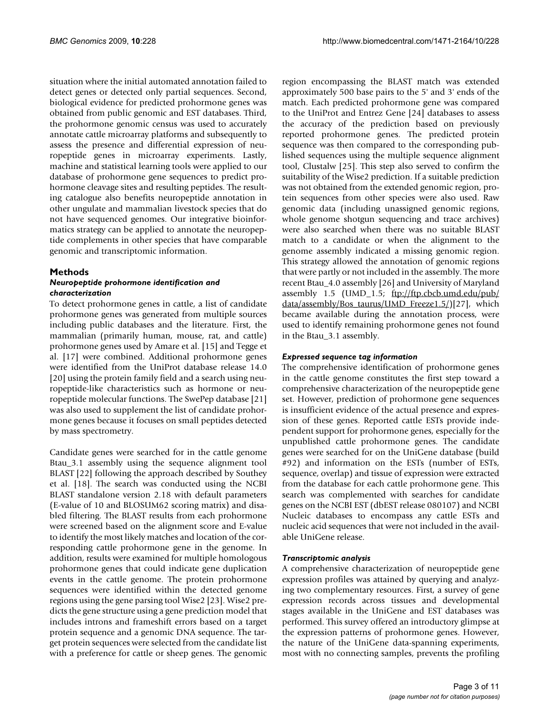situation where the initial automated annotation failed to detect genes or detected only partial sequences. Second, biological evidence for predicted prohormone genes was obtained from public genomic and EST databases. Third, the prohormone genomic census was used to accurately annotate cattle microarray platforms and subsequently to assess the presence and differential expression of neuropeptide genes in microarray experiments. Lastly, machine and statistical learning tools were applied to our database of prohormone gene sequences to predict prohormone cleavage sites and resulting peptides. The resulting catalogue also benefits neuropeptide annotation in other ungulate and mammalian livestock species that do not have sequenced genomes. Our integrative bioinformatics strategy can be applied to annotate the neuropeptide complements in other species that have comparable genomic and transcriptomic information.

#### **Methods**

#### *Neuropeptide prohormone identification and characterization*

To detect prohormone genes in cattle, a list of candidate prohormone genes was generated from multiple sources including public databases and the literature. First, the mammalian (primarily human, mouse, rat, and cattle) prohormone genes used by Amare et al. [\[15](#page-9-13)] and Tegge et al. [\[17\]](#page-9-14) were combined. Additional prohormone genes were identified from the UniProt database release 14.0 [[20](#page-10-0)] using the protein family field and a search using neuropeptide-like characteristics such as hormone or neuropeptide molecular functions. The SwePep database [[21\]](#page-10-1) was also used to supplement the list of candidate prohormone genes because it focuses on small peptides detected by mass spectrometry.

Candidate genes were searched for in the cattle genome Btau\_3.1 assembly using the sequence alignment tool BLAST [\[22](#page-10-2)] following the approach described by Southey et al. [[18](#page-9-11)]. The search was conducted using the NCBI BLAST standalone version 2.18 with default parameters (E-value of 10 and BLOSUM62 scoring matrix) and disabled filtering. The BLAST results from each prohormone were screened based on the alignment score and E-value to identify the most likely matches and location of the corresponding cattle prohormone gene in the genome. In addition, results were examined for multiple homologous prohormone genes that could indicate gene duplication events in the cattle genome. The protein prohormone sequences were identified within the detected genome regions using the gene parsing tool Wise2 [[23\]](#page-10-3). Wise2 predicts the gene structure using a gene prediction model that includes introns and frameshift errors based on a target protein sequence and a genomic DNA sequence. The target protein sequences were selected from the candidate list with a preference for cattle or sheep genes. The genomic region encompassing the BLAST match was extended approximately 500 base pairs to the 5' and 3' ends of the match. Each predicted prohormone gene was compared to the UniProt and Entrez Gene [[24](#page-10-4)] databases to assess the accuracy of the prediction based on previously reported prohormone genes. The predicted protein sequence was then compared to the corresponding published sequences using the multiple sequence alignment tool, Clustalw [[25\]](#page-10-5). This step also served to confirm the suitability of the Wise2 prediction. If a suitable prediction was not obtained from the extended genomic region, protein sequences from other species were also used. Raw genomic data (including unassigned genomic regions, whole genome shotgun sequencing and trace archives) were also searched when there was no suitable BLAST match to a candidate or when the alignment to the genome assembly indicated a missing genomic region. This strategy allowed the annotation of genomic regions that were partly or not included in the assembly. The more recent Btau\_4.0 assembly [[26\]](#page-10-6) and University of Maryland assembly 1.5 (UMD\_1.5; [ftp://ftp.cbcb.umd.edu/pub/](ftp://ftp.cbcb.umd.edu/pub/data/assembly/Bos_taurus/UMD_Freeze1.5/) [data/assembly/Bos\\_taurus/UMD\\_Freeze1.5/](ftp://ftp.cbcb.umd.edu/pub/data/assembly/Bos_taurus/UMD_Freeze1.5/))[[27\]](#page-10-7), which became available during the annotation process, were used to identify remaining prohormone genes not found in the Btau\_3.1 assembly.

#### *Expressed sequence tag information*

The comprehensive identification of prohormone genes in the cattle genome constitutes the first step toward a comprehensive characterization of the neuropeptide gene set. However, prediction of prohormone gene sequences is insufficient evidence of the actual presence and expression of these genes. Reported cattle ESTs provide independent support for prohormone genes, especially for the unpublished cattle prohormone genes. The candidate genes were searched for on the UniGene database (build #92) and information on the ESTs (number of ESTs, sequence, overlap) and tissue of expression were extracted from the database for each cattle prohormone gene. This search was complemented with searches for candidate genes on the NCBI EST (dbEST release 080107) and NCBI Nucleic databases to encompass any cattle ESTs and nucleic acid sequences that were not included in the available UniGene release.

#### *Transcriptomic analysis*

A comprehensive characterization of neuropeptide gene expression profiles was attained by querying and analyzing two complementary resources. First, a survey of gene expression records across tissues and developmental stages available in the UniGene and EST databases was performed. This survey offered an introductory glimpse at the expression patterns of prohormone genes. However, the nature of the UniGene data-spanning experiments, most with no connecting samples, prevents the profiling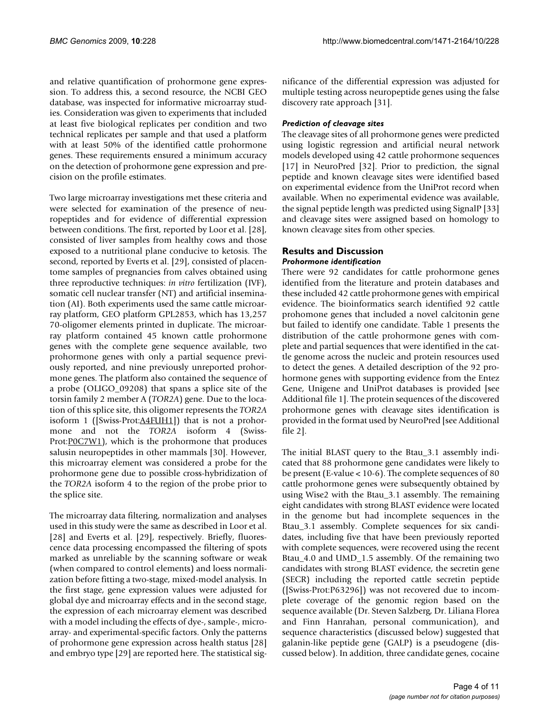and relative quantification of prohormone gene expression. To address this, a second resource, the NCBI GEO database, was inspected for informative microarray studies. Consideration was given to experiments that included at least five biological replicates per condition and two technical replicates per sample and that used a platform with at least 50% of the identified cattle prohormone genes. These requirements ensured a minimum accuracy on the detection of prohormone gene expression and precision on the profile estimates.

Two large microarray investigations met these criteria and were selected for examination of the presence of neuropeptides and for evidence of differential expression between conditions. The first, reported by Loor et al. [\[28](#page-10-8)], consisted of liver samples from healthy cows and those exposed to a nutritional plane conducive to ketosis. The second, reported by Everts et al. [[29](#page-10-9)], consisted of placentome samples of pregnancies from calves obtained using three reproductive techniques: *in vitro* fertilization (IVF), somatic cell nuclear transfer (NT) and artificial insemination (AI). Both experiments used the same cattle microarray platform, GEO platform GPL2853, which has 13,257 70-oligomer elements printed in duplicate. The microarray platform contained 45 known cattle prohormone genes with the complete gene sequence available, two prohormone genes with only a partial sequence previously reported, and nine previously unreported prohormone genes. The platform also contained the sequence of a probe (OLIGO\_09208) that spans a splice site of the torsin family 2 member A (*TOR2A*) gene. Due to the location of this splice site, this oligomer represents the *TOR2A* isoform 1 ([Swiss-Prot[:A4FUH1](http://www.ebi.ac.uk/cgi-bin/dbfetch?db=swall&id=A4FUH1)]) that is not a prohormone and not the *TOR2A* isoform 4 (Swiss-Prot[:P0C7W1\)](http://www.ebi.ac.uk/cgi-bin/dbfetch?db=swall&id=P0C7W1), which is the prohormone that produces salusin neuropeptides in other mammals [\[30\]](#page-10-10). However, this microarray element was considered a probe for the prohormone gene due to possible cross-hybridization of the *TOR2A* isoform 4 to the region of the probe prior to the splice site.

The microarray data filtering, normalization and analyses used in this study were the same as described in Loor et al. [[28](#page-10-8)] and Everts et al. [[29](#page-10-9)], respectively. Briefly, fluorescence data processing encompassed the filtering of spots marked as unreliable by the scanning software or weak (when compared to control elements) and loess normalization before fitting a two-stage, mixed-model analysis. In the first stage, gene expression values were adjusted for global dye and microarray effects and in the second stage, the expression of each microarray element was described with a model including the effects of dye-, sample-, microarray- and experimental-specific factors. Only the patterns of prohormone gene expression across health status [[28\]](#page-10-8) and embryo type [\[29](#page-10-9)] are reported here. The statistical significance of the differential expression was adjusted for multiple testing across neuropeptide genes using the false discovery rate approach [[31](#page-10-11)].

#### *Prediction of cleavage sites*

The cleavage sites of all prohormone genes were predicted using logistic regression and artificial neural network models developed using 42 cattle prohormone sequences [[17](#page-9-14)] in NeuroPred [[32\]](#page-10-12). Prior to prediction, the signal peptide and known cleavage sites were identified based on experimental evidence from the UniProt record when available. When no experimental evidence was available, the signal peptide length was predicted using SignalP [[33\]](#page-10-13) and cleavage sites were assigned based on homology to known cleavage sites from other species.

#### **Results and Discussion** *Prohormone identification*

There were 92 candidates for cattle prohormone genes identified from the literature and protein databases and these included 42 cattle prohormone genes with empirical evidence. The bioinformatics search identified 92 cattle prohomone genes that included a novel calcitonin gene but failed to identify one candidate. Table [1](#page-4-0) presents the distribution of the cattle prohormone genes with complete and partial sequences that were identified in the cattle genome across the nucleic and protein resources used to detect the genes. A detailed description of the 92 prohormone genes with supporting evidence from the Entez Gene, Unigene and UniProt databases is provided [see Additional file [1\]](#page-9-15). The protein sequences of the discovered prohormone genes with cleavage sites identification is provided in the format used by NeuroPred [see Additional file [2](#page-9-16)].

[The initial BLAST query to the Btau\\_3.1 assembly indi](http://www.ebi.ac.uk/cgi-bin/dbfetch?db=swall&id=P63296)cated that 88 prohormone gene candidates were likely to be present (E-value < 10-6). The complete sequences of 80 cattle prohormone genes were subsequently obtained by using Wise2 with the Btau\_3.1 assembly. The remaining eight candidates with strong BLAST evidence were located in the genome but had incomplete sequences in the Btau\_3.1 assembly. Complete sequences for six candidates, including five that have been previously reported with complete sequences, were recovered using the recent Btau\_4.0 and UMD\_1.5 assembly. Of the remaining two candidates with strong BLAST evidence, the secretin gene (SECR) including the reported cattle secretin peptide ([Swiss-Prot:P63296]) was not recovered due to incomplete coverage of the genomic region based on the sequence available (Dr. Steven Salzberg, Dr. Liliana Florea and Finn Hanrahan, personal communication), and sequence characteristics (discussed below) suggested that galanin-like peptide gene (GALP) is a pseudogene (dis[cussed below\). In addition, three candidate genes, cocaine](http://www.ebi.ac.uk/cgi-bin/dbfetch?db=swall&id=P63296)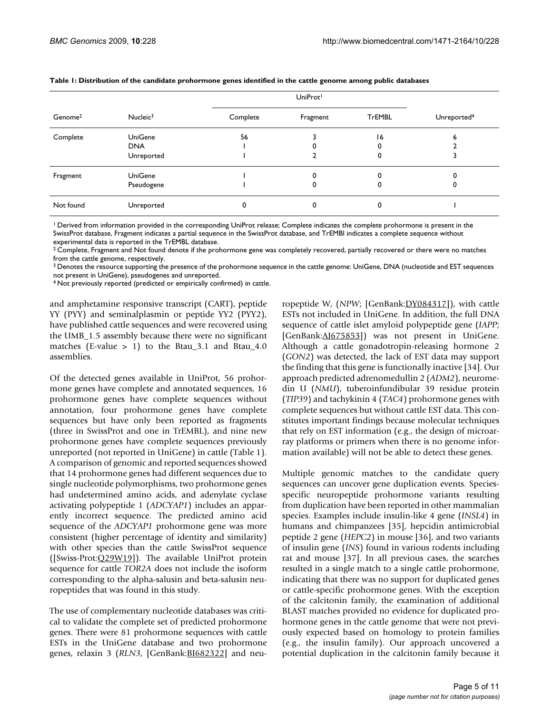|                     | Nucleic <sup>3</sup> |          |          |               |                         |
|---------------------|----------------------|----------|----------|---------------|-------------------------|
| Genome <sup>2</sup> |                      | Complete | Fragment | <b>TrEMBL</b> | Unreported <sup>4</sup> |
| Complete            | UniGene              | 56       |          | 16            | n                       |
|                     | <b>DNA</b>           |          |          | 0             |                         |
|                     | Unreported           |          |          | 0             |                         |
| Fragment            | UniGene              |          |          | 0             |                         |
|                     | Pseudogene           |          |          | 0             |                         |
| Not found           | Unreported           | 0        |          | 0             |                         |

#### <span id="page-4-0"></span>**Table 1: Distribution of the candidate prohormone genes identified in the cattle genome among public databases**

<sup>1</sup> Derived from information provided in the corresponding UniProt release; Complete indicates the complete prohormone is present in the SwissProt database, Fragment indicates a partial sequence in the SwissProt database, and TrEMBl indicates a complete sequence without experimental data is reported in the TrEMBL database.

<sup>2</sup> Complete, Fragment and Not found denote if the prohormone gene was completely recovered, partially recovered or there were no matches from the cattle genome, respectively.

<sup>3</sup> Denotes the resource supporting the presence of the prohormone sequence in the cattle genome: UniGene, DNA (nucleotide and EST sequences not present in UniGene), pseudogenes and unreported.

4 Not previously reported (predicted or empirically confirmed) in cattle.

[and amphetamine responsive transcript \(CART\), peptide](http://www.ebi.ac.uk/cgi-bin/dbfetch?db=swall&id=P63296) YY (PYY) and seminalplasmin or peptide YY2 (PYY2), have published cattle sequences and were recovered using the UMB\_1.5 assembly because there were no significant matches (E-value  $> 1$ ) to the Btau<sub>\_3.1</sub> and Btau\_4.0 assemblies.

Of the detected genes available in UniProt, 56 prohormone genes have complete and annotated sequences, 16 prohormone genes have complete sequences without annotation, four prohormone genes have complete sequences but have only been reported as fragments (three in SwissProt and one in TrEMBL), and nine new prohormone genes have complete sequences previously unreported (not reported in UniGene) in cattle (Table [1\)](#page-4-0). A comparison of genomic and reported sequences showed that 14 prohormone genes had different sequences due to single nucleotide polymorphisms, two prohormone genes had undetermined amino acids, and adenylate cyclase activating polypeptide 1 (*ADCYAP1*) includes an apparently incorrect sequence. The predicted amino acid sequence of the *ADCYAP1* prohormone gene was more consistent (higher percentage of identity and similarity) with other species than the cattle SwissProt sequence ([Swiss-Prot: $Q29W19$ ]). The available UniProt protein sequence for cattle *TOR2A* does not include the isoform corresponding to the alpha-salusin and beta-salusin neuropeptides that was found in this study.

The use of complementary nucleotide databases was critical to validate the complete set of predicted prohormone genes. There were 81 prohormone sequences with cattle ESTs in the UniGene database and two prohormone genes, relaxin 3 (*RLN3*, [GenBank[:BI682322\]](http://www.ncbi.nih.gov/entrez/query.fcgi?db=Nucleotide&cmd=search&term=BI682322) and neuropeptide W, (*NPW*; [GenBank:[DY084317\]](http://www.ncbi.nih.gov/entrez/query.fcgi?db=Nucleotide&cmd=search&term=DY084317)), with cattle ESTs not included in UniGene. In addition, the full DNA sequence of cattle islet amyloid polypeptide gene (*IAPP*; [GenBank: AI675853]) was not present in UniGene. Although a cattle gonadotropin-releasing hormone 2 (*GON2*) was detected, the lack of EST data may support the finding that this gene is functionally inactive [\[34](#page-10-14)]. Our approach predicted adrenomedullin 2 (*ADM2*), neuromedin U (*NMU*), tuberoinfundibular 39 residue protein (*TIP39*) and tachykinin 4 (*TAC4*) prohormone genes with complete sequences but without cattle EST data. This constitutes important findings because molecular techniques that rely on EST information (e.g., the design of microarray platforms or primers when there is no genome information available) will not be able to detect these genes.

Multiple genomic matches to the candidate query sequences can uncover gene duplication events. Speciesspecific neuropeptide prohormone variants resulting from duplication have been reported in other mammalian species. Examples include insulin-like 4 gene (*INSL4*) in humans and chimpanzees [\[35](#page-10-15)], hepcidin antimicrobial peptide 2 gene (*HEPC2*) in mouse [\[36](#page-10-16)], and two variants of insulin gene (*INS*) found in various rodents including rat and mouse [[37\]](#page-10-17). In all previous cases, the searches resulted in a single match to a single cattle prohormone, indicating that there was no support for duplicated genes or cattle-specific prohormone genes. With the exception of the calcitonin family, the examination of additional BLAST matches provided no evidence for duplicated prohormone genes in the cattle genome that were not previously expected based on homology to protein families (e.g., the insulin family). Our approach uncovered a potential duplication in the calcitonin family because it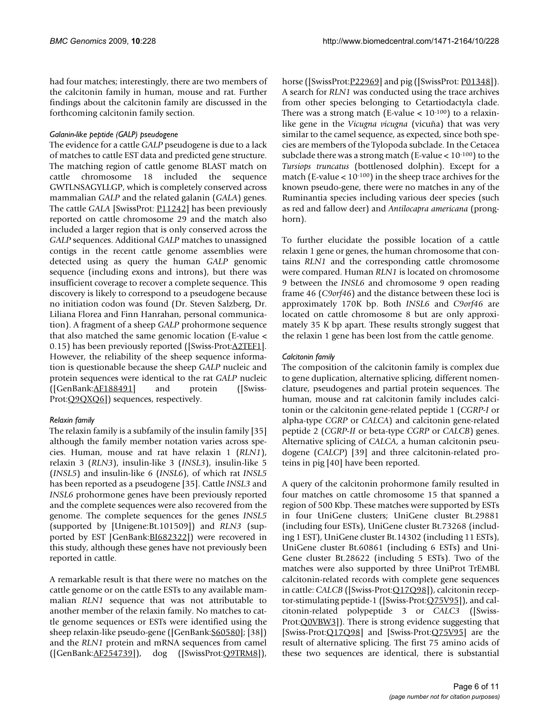had four matches; interestingly, there are two members of the calcitonin family in human, mouse and rat. Further findings about the calcitonin family are discussed in the forthcoming calcitonin family section.

#### *Galanin-like peptide (GALP) pseudogene*

The evidence for a cattle *GALP* pseudogene is due to a lack of matches to cattle EST data and predicted gene structure. The matching region of cattle genome BLAST match on cattle chromosome 18 included the sequence GWTLNSAGYLLGP, which is completely conserved across mammalian *GALP* and the related galanin (*GALA*) genes. The cattle *GALA* [SwissProt: [P11242\]](http://www.ebi.ac.uk/cgi-bin/dbfetch?db=swall&id=P11242) has been previously reported on cattle chromosome 29 and the match also included a larger region that is only conserved across the *GALP* sequences. Additional *GALP* matches to unassigned contigs in the recent cattle genome assemblies were detected using as query the human *GALP* genomic sequence (including exons and introns), but there was insufficient coverage to recover a complete sequence. This discovery is likely to correspond to a pseudogene because no initiation codon was found (Dr. Steven Salzberg, Dr. Liliana Florea and Finn Hanrahan, personal communication). A fragment of a sheep *GALP* prohormone sequence that also matched the same genomic location (E-value < 0.15) has been previously reported ([Swiss-Prot:[A2TEF1](http://www.ebi.ac.uk/cgi-bin/dbfetch?db=swall&id=A2TEF1)]. However, the reliability of the sheep sequence information is questionable because the sheep *GALP* nucleic and protein sequences were identical to the rat *GALP* nucleic ([GenBank:[AF188491](http://www.ncbi.nih.gov/entrez/query.fcgi?db=Nucleotide&cmd=search&term=AF188491)] and protein ([Swiss-Prot:**Q9QXQ6**]) sequences, respectively.

#### *Relaxin family*

The relaxin family is a subfamily of the insulin family [[35\]](#page-10-15) although the family member notation varies across species. Human, mouse and rat have relaxin 1 (*RLN1*), relaxin 3 (*RLN3*), insulin-like 3 (*INSL3*), insulin-like 5 (*INSL5*) and insulin-like 6 (*INSL6*), of which rat *INSL5* has been reported as a pseudogene [\[35](#page-10-15)]. Cattle *INSL3* and *INSL6* prohormone genes have been previously reported and the complete sequences were also recovered from the genome. The complete sequences for the genes *INSL5* (supported by [Unigene:Bt.101509]) and *RLN3* (supported by EST [GenBank:[BI682322](http://www.ncbi.nih.gov/entrez/query.fcgi?db=Nucleotide&cmd=search&term=BI682322)]) were recovered in this study, although these genes have not previously been reported in cattle.

A remarkable result is that there were no matches on the cattle genome or on the cattle ESTs to any available mammalian *RLN1* sequence that was not attributable to another member of the relaxin family. No matches to cattle genome sequences or ESTs were identified using the sheep relaxin-like pseudo-gene ([GenBank[:S60580](http://www.ncbi.nih.gov/entrez/query.fcgi?db=Nucleotide&cmd=search&term=S60580)]; [[38\]](#page-10-18)) and the *RLN1* protein and mRNA sequences from camel  $($ [GenBank: $\Delta$ F254739]), dog  $($ [SwissProt: $\Delta$ 9TRM8]),

horse ([SwissProt: <u>P22969</u>] and pig ([SwissProt: <u>P01348</u>]). A search for *RLN1* was conducted using the trace archives from other species belonging to Cetartiodactyla clade. There was a strong match (E-value  $< 10^{-100}$ ) to a relaxinlike gene in the *Vicugna vicugna* (vicuña) that was very similar to the camel sequence, as expected, since both species are members of the Tylopoda subclade. In the Cetacea subclade there was a strong match (E-value  $< 10^{-100}$ ) to the *Tursiops truncatus* (bottlenosed dolphin). Except for a match (E-value  $< 10^{-100}$ ) in the sheep trace archives for the known pseudo-gene, there were no matches in any of the Ruminantia species including various deer species (such as red and fallow deer) and *Antilocapra americana* (pronghorn).

To further elucidate the possible location of a cattle relaxin 1 gene or genes, the human chromosome that contains *RLN1* and the corresponding cattle chromosome were compared. Human *RLN1* is located on chromosome 9 between the *INSL6* and chromosome 9 open reading frame 46 (*C9orf46*) and the distance between these loci is approximately 170K bp. Both *INSL6* and *C9orf46* are located on cattle chromosome 8 but are only approximately 35 K bp apart. These results strongly suggest that the relaxin 1 gene has been lost from the cattle genome.

# *Calcitonin family*

The composition of the calcitonin family is complex due to gene duplication, alternative splicing, different nomenclature, pseudogenes and partial protein sequences. The human, mouse and rat calcitonin family includes calcitonin or the calcitonin gene-related peptide 1 (*CGRP-I* or alpha-type *CGRP* or *CALCA*) and calcitonin gene-related peptide 2 (*CGRP-II* or beta-type *CGRP* or *CALCB*) genes. Alternative splicing of *CALCA*, a human calcitonin pseudogene (*CALCP*) [[39](#page-10-19)] and three calcitonin-related proteins in pig [[40\]](#page-10-20) have been reported.

A query of the calcitonin prohormone family resulted in four matches on cattle chromosome 15 that spanned a region of 500 Kbp. These matches were supported by ESTs in four UniGene clusters; UniGene cluster Bt.29881 (including four ESTs), UniGene cluster Bt.73268 (including 1 EST), UniGene cluster Bt.14302 (including 11 ESTs), UniGene cluster Bt.60861 (including 6 ESTs) and Uni-Gene cluster Bt.28622 (including 5 ESTs). Two of the matches were also supported by three UniProt TrEMBL calcitonin-related records with complete gene sequences in cattle: *CALCB* ([Swiss-Prot:[Q17Q98](http://www.ebi.ac.uk/cgi-bin/dbfetch?db=swall&id=Q17Q98)]), calcitonin receptor-stimulating peptide-1 ([Swiss-Prot:[Q75V95](http://www.ebi.ac.uk/cgi-bin/dbfetch?db=swall&id=Q75V95)]), and calcitonin-related polypeptide 3 or *CALC3* ([Swiss-Prot: Q0VBW3]). There is strong evidence suggesting that [Swiss-Prot[:Q17Q98\]](http://www.ebi.ac.uk/cgi-bin/dbfetch?db=swall&id=Q17Q98) and [Swiss-Prot:[Q75V95](http://www.ebi.ac.uk/cgi-bin/dbfetch?db=swall&id=Q75V95)] are the result of alternative splicing. The first 75 amino acids of these two sequences are identical, there is substantial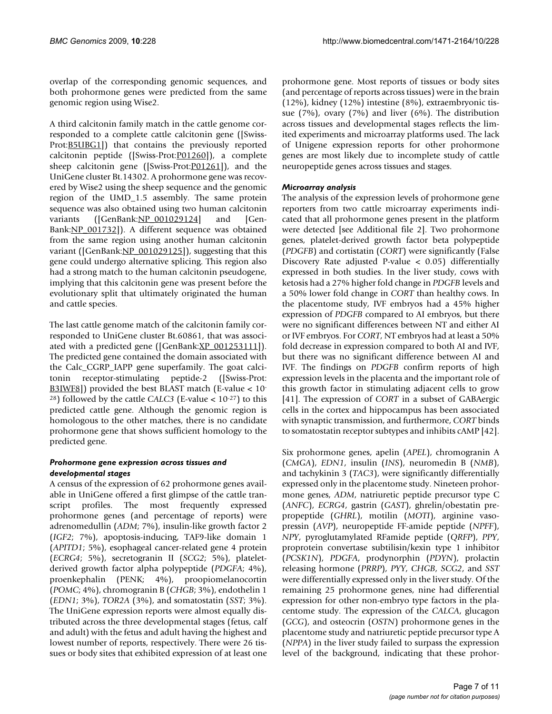overlap of the corresponding genomic sequences, and both prohormone genes were predicted from the same genomic region using Wise2.

A third calcitonin family match in the cattle genome corresponded to a complete cattle calcitonin gene ([Swiss-Prot[:B5UBG1](http://www.ebi.ac.uk/cgi-bin/dbfetch?db=swall&id=B5UBG1)]) that contains the previously reported calcitonin peptide ([Swiss-Prot:[P01260\]](http://www.ebi.ac.uk/cgi-bin/dbfetch?db=swall&id=P01260)), a complete sheep calcitonin gene ([Swiss-Prot[:P01261\]](http://www.ebi.ac.uk/cgi-bin/dbfetch?db=swall&id=P01261)), and the UniGene cluster Bt.14302. A prohormone gene was recovered by Wise2 using the sheep sequence and the genomic region of the UMD\_1.5 assembly. The same protein sequence was also obtained using two human calcitonin variants ([GenBank[:NP\\_001029124\]](http://www.ncbi.nih.gov/entrez/query.fcgi?db=Nucleotide&cmd=search&term=NP_001029124) and [Gen-Bank:[NP\\_001732](http://www.ncbi.nih.gov/entrez/query.fcgi?db=Nucleotide&cmd=search&term=NP_001732)]). A different sequence was obtained from the same region using another human calcitonin variant ([GenBank:[NP\\_001029125\]](http://www.ncbi.nih.gov/entrez/query.fcgi?db=Nucleotide&cmd=search&term=NP_001029125)), suggesting that this gene could undergo alternative splicing. This region also had a strong match to the human calcitonin pseudogene, implying that this calcitonin gene was present before the evolutionary split that ultimately originated the human and cattle species.

The last cattle genome match of the calcitonin family corresponded to UniGene cluster Bt.60861, that was associ-ated with a predicted gene ([GenBank[:XP\\_001253111](http://www.ncbi.nih.gov/entrez/query.fcgi?db=Nucleotide&cmd=search&term=XP_001253111)]). The predicted gene contained the domain associated with the Calc\_CGRP\_IAPP gene superfamily. The goat calcitonin receptor-stimulating peptide-2 ([Swiss-Prot: [B3IWF8\]](http://www.ebi.ac.uk/cgi-bin/dbfetch?db=swall&id=B3IWF8)) provided the best BLAST match (E-value < 10- 28) followed by the cattle *CALC3* (E-value < 10-27) to this predicted cattle gene. Although the genomic region is homologous to the other matches, there is no candidate prohormone gene that shows sufficient homology to the predicted gene.

#### *Prohormone gene expression across tissues and developmental stages*

A census of the expression of 62 prohormone genes available in UniGene offered a first glimpse of the cattle transcript profiles. The most frequently expressed prohormone genes (and percentage of reports) were adrenomedullin (*ADM*; 7%), insulin-like growth factor 2 (*IGF2*; 7%), apoptosis-inducing, TAF9-like domain 1 (*APITD1*; 5%), esophageal cancer-related gene 4 protein (*ECRG4*; 5%), secretogranin II (*SCG2*; 5%), plateletderived growth factor alpha polypeptide (*PDGFA*; 4%), proenkephalin (PENK; 4%), proopiomelanocortin (*POMC*; 4%), chromogranin B (*CHGB*; 3%), endothelin 1 (*EDN1*; 3%), *TOR2A* (3%), and somatostatin (*SST*; 3%). The UniGene expression reports were almost equally distributed across the three developmental stages (fetus, calf and adult) with the fetus and adult having the highest and lowest number of reports, respectively. There were 26 tissues or body sites that exhibited expression of at least one prohormone gene. Most reports of tissues or body sites (and percentage of reports across tissues) were in the brain (12%), kidney (12%) intestine (8%), extraembryonic tissue (7%), ovary (7%) and liver (6%). The distribution across tissues and developmental stages reflects the limited experiments and microarray platforms used. The lack of Unigene expression reports for other prohormone genes are most likely due to incomplete study of cattle neuropeptide genes across tissues and stages.

# *Microarray analysis*

The analysis of the expression levels of prohormone gene reporters from two cattle microarray experiments indicated that all prohormone genes present in the platform were detected [see Additional file [2](#page-9-16)]. Two prohormone genes, platelet-derived growth factor beta polypeptide (*PDGFB*) and cortistatin (*CORT*) were significantly (False Discovery Rate adjusted P-value < 0.05) differentially expressed in both studies. In the liver study, cows with ketosis had a 27% higher fold change in *PDGFB* levels and a 50% lower fold change in *CORT* than healthy cows. In the placentome study, IVF embryos had a 45% higher expression of *PDGFB* compared to AI embryos, but there were no significant differences between NT and either AI or IVF embryos. For *CORT*, NT embryos had at least a 50% fold decrease in expression compared to both AI and IVF, but there was no significant difference between AI and IVF. The findings on *PDGFB* confirm reports of high expression levels in the placenta and the important role of this growth factor in stimulating adjacent cells to grow [[41](#page-10-21)]. The expression of *CORT* in a subset of GABAergic cells in the cortex and hippocampus has been associated with synaptic transmission, and furthermore, *CORT* binds to somatostatin receptor subtypes and inhibits cAMP [\[42](#page-10-22)].

Six prohormone genes, apelin (*APEL*), chromogranin A (*CMGA*), *EDN1*, insulin (*INS*), neuromedin B (*NMB*), and tachykinin 3 (*TAC3*), were significantly differentially expressed only in the placentome study. Nineteen prohormone genes, *ADM*, natriuretic peptide precursor type C (*ANFC*), *ECRG4*, gastrin (*GAST*), ghrelin/obestatin prepropeptide (*GHRL*), motilin (*MOTI*), arginine vasopressin (*AVP*), neuropeptide FF-amide peptide (*NPFF*), *NPY*, pyroglutamylated RFamide peptide (*QRFP*), *PPY*, proprotein convertase subtilisin/kexin type 1 inhibitor (*PCSK1N*), *PDGFA*, prodynorphin (*PDYN*), prolactin releasing hormone (*PRRP*), *PYY*, *CHGB*, *SCG2*, and *SST* were differentially expressed only in the liver study. Of the remaining 25 prohormone genes, nine had differential expression for other non-embryo type factors in the placentome study. The expression of the *CALCA*, glucagon (*GCG*), and osteocrin (*OSTN*) prohormone genes in the placentome study and natriuretic peptide precursor type A (*NPPA*) in the liver study failed to surpass the expression level of the background, indicating that these prohor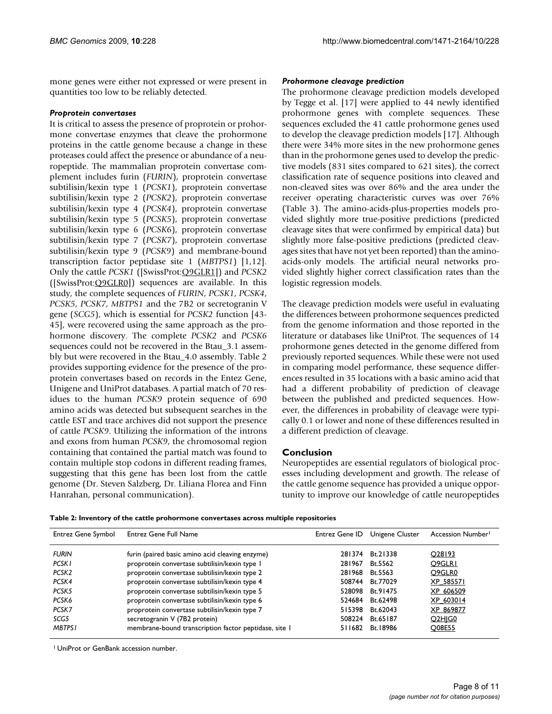mone genes were either not expressed or were present in quantities too low to be reliably detected.

#### *Proprotein convertases*

It is critical to assess the presence of proprotein or prohormone convertase enzymes that cleave the prohormone proteins in the cattle genome because a change in these proteases could affect the presence or abundance of a neuropeptide. The mammalian proprotein convertase complement includes furin (*FURIN*), proprotein convertase subtilisin/kexin type 1 (*PCSK1*), proprotein convertase subtilisin/kexin type 2 (*PCSK2*), proprotein convertase subtilisin/kexin type 4 (*PCSK4*), proprotein convertase subtilisin/kexin type 5 (*PCSK5*), proprotein convertase subtilisin/kexin type 6 (*PCSK6*), proprotein convertase subtilisin/kexin type 7 (*PCSK7*), proprotein convertase subtilisin/kexin type 9 (*PCSK9*) and membrane-bound transcription factor peptidase site 1 (*MBTPS1*) [\[1](#page-9-0)[,12](#page-9-8)]. Only the cattle *PCSK1* ([SwissProt:[Q9GLR1\]](http://www.ebi.ac.uk/cgi-bin/dbfetch?db=swall&id=Q9GLR1)) and *PCSK2* ([SwissProt[:Q9GLR0](http://www.ebi.ac.uk/cgi-bin/dbfetch?db=swall&id=Q9GLR0)]) sequences are available. In this study, the complete sequences of *FURIN*, *PCSK1*, *PCSK4*, *PCSK5*, *PCSK7*, *MBTPS1* and the 7B2 or secretogranin V gene (*SCG5*), which is essential for *PCSK2* function [\[43](#page-10-23)- [45\]](#page-10-24), were recovered using the same approach as the prohormone discovery. The complete *PCSK2* and *PCSK6* sequences could not be recovered in the Btau\_3.1 assembly but were recovered in the Btau\_4.0 assembly. Table [2](#page-7-0) provides supporting evidence for the presence of the proprotein convertases based on records in the Entez Gene, Unigene and UniProt databases. A partial match of 70 residues to the human *PCSK9* protein sequence of 690 amino acids was detected but subsequent searches in the cattle EST and trace archives did not support the presence of cattle *PCSK9*. Utilizing the information of the introns and exons from human *PCSK9*, the chromosomal region containing that contained the partial match was found to contain multiple stop codons in different reading frames, suggesting that this gene has been lost from the cattle genome (Dr. Steven Salzberg, Dr. Liliana Florea and Finn Hanrahan, personal communication).

#### *Prohormone cleavage prediction*

The prohormone cleavage prediction models developed by Tegge et al. [\[17\]](#page-9-14) were applied to 44 newly identified prohormone genes with complete sequences. These sequences excluded the 41 cattle prohormone genes used to develop the cleavage prediction models [\[17](#page-9-14)]. Although there were 34% more sites in the new prohormone genes than in the prohormone genes used to develop the predictive models (831 sites compared to 621 sites), the correct classification rate of sequence positions into cleaved and non-cleaved sites was over 86% and the area under the receiver operating characteristic curves was over 76% (Table [3](#page-8-0)). The amino-acids-plus-properties models provided slightly more true-positive predictions (predicted cleavage sites that were confirmed by empirical data) but slightly more false-positive predictions (predicted cleavages sites that have not yet been reported) than the aminoacids-only models. The artificial neural networks provided slightly higher correct classification rates than the logistic regression models.

The cleavage prediction models were useful in evaluating the differences between prohormone sequences predicted from the genome information and those reported in the literature or databases like UniProt. The sequences of 14 prohormone genes detected in the genome differed from previously reported sequences. While these were not used in comparing model performance, these sequence differences resulted in 35 locations with a basic amino acid that had a different probability of prediction of cleavage between the published and predicted sequences. However, the differences in probability of cleavage were typically 0.1 or lower and none of these differences resulted in a different prediction of cleavage.

# **Conclusion**

Neuropeptides are essential regulators of biological processes including development and growth. The release of the cattle genome sequence has provided a unique opportunity to improve our knowledge of cattle neuropeptides

| <b>Entrez Gene Symbol</b> | <b>Entrez Gene Full Name</b>                          | Entrez Gene ID | Unigene Cluster | Accession Number <sup>1</sup>   |
|---------------------------|-------------------------------------------------------|----------------|-----------------|---------------------------------|
| <b>FURIN</b>              | furin (paired basic amino acid cleaving enzyme)       | 281374         | Bt.21338        | O <sub>28193</sub>              |
| <b>PCSK1</b>              | proprotein convertase subtilisin/kexin type I         | 281967         | Bt.5562         | Q9GLR1                          |
| PCSK <sub>2</sub>         | proprotein convertase subtilisin/kexin type 2         | 281968         | Bt.5563         | O <sub>9</sub> GLR <sub>0</sub> |
| PCSK4                     | proprotein convertase subtilisin/kexin type 4         | 508744         | Bt.77029        | <b>XP 585571</b>                |
| PCSK <sub>5</sub>         | proprotein convertase subtilisin/kexin type 5         | 528098         | Bt.91475        | XP 606509                       |
| PCSK6                     | proprotein convertase subtilisin/kexin type 6         | 524684         | Bt.62498        | XP 603014                       |
| PCSK7                     | proprotein convertase subtilisin/kexin type 7         | 515398         | Bt.62043        | XP 869877                       |
| SCG5                      | secretogranin V (7B2 protein)                         | 508224         | Bt.65187        | O2H GO                          |
| <b>MBTPSI</b>             | membrane-bound transcription factor peptidase, site I | 511682         | Bt.18986        | O08E55                          |

<span id="page-7-0"></span>**Table 2: Inventory of the cattle prohormone convertases across multiple repositories**

<sup>1</sup> UniProt or GenBank accession number.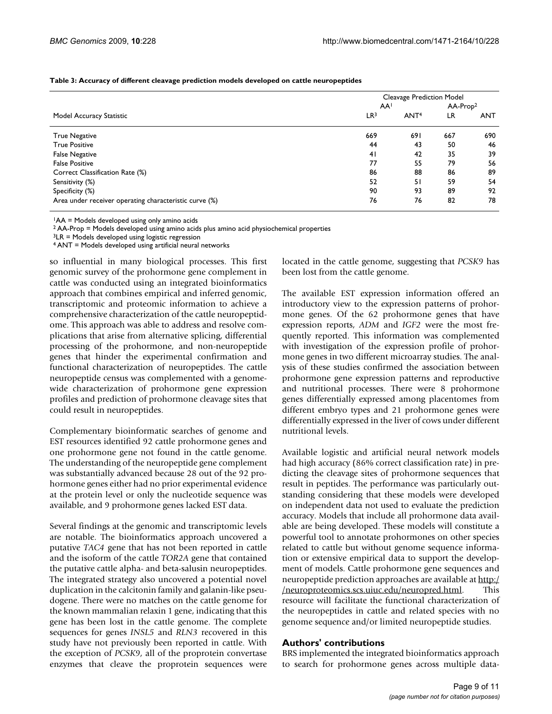#### <span id="page-8-0"></span>**Table 3: Accuracy of different cleavage prediction models developed on cattle neuropeptides**

|                                                        | Cleavage Prediction Model |                  |                      |            |
|--------------------------------------------------------|---------------------------|------------------|----------------------|------------|
|                                                        | AA <sup>1</sup>           |                  | AA-Prop <sup>2</sup> |            |
| Model Accuracy Statistic                               | LR <sup>3</sup>           | ANT <sup>4</sup> | LR                   | <b>ANT</b> |
| <b>True Negative</b>                                   | 669                       | 691              | 667                  | 690        |
| <b>True Positive</b>                                   | 44                        | 43               | 50                   | 46         |
| <b>False Negative</b>                                  | 41                        | 42               | 35                   | 39         |
| <b>False Positive</b>                                  | 77                        | 55               | 79                   | 56         |
| Correct Classification Rate (%)                        | 86                        | 88               | 86                   | 89         |
| Sensitivity (%)                                        | 52                        | 51               | 59                   | 54         |
| Specificity (%)                                        | 90                        | 93               | 89                   | 92         |
| Area under receiver operating characteristic curve (%) | 76                        | 76               | 82                   | 78         |

1AA = Models developed using only amino acids

2 AA-Prop = Models developed using amino acids plus amino acid physiochemical properties

 $3LR =$  Models developed using logistic regression

4 ANT = Models developed using artificial neural networks

so influential in many biological processes. This first genomic survey of the prohormone gene complement in cattle was conducted using an integrated bioinformatics approach that combines empirical and inferred genomic, transcriptomic and proteomic information to achieve a comprehensive characterization of the cattle neuropeptidome. This approach was able to address and resolve complications that arise from alternative splicing, differential processing of the prohormone, and non-neuropeptide genes that hinder the experimental confirmation and functional characterization of neuropeptides. The cattle neuropeptide census was complemented with a genomewide characterization of prohormone gene expression profiles and prediction of prohormone cleavage sites that could result in neuropeptides.

Complementary bioinformatic searches of genome and EST resources identified 92 cattle prohormone genes and one prohormone gene not found in the cattle genome. The understanding of the neuropeptide gene complement was substantially advanced because 28 out of the 92 prohormone genes either had no prior experimental evidence at the protein level or only the nucleotide sequence was available, and 9 prohormone genes lacked EST data.

Several findings at the genomic and transcriptomic levels are notable. The bioinformatics approach uncovered a putative *TAC4* gene that has not been reported in cattle and the isoform of the cattle *TOR2A* gene that contained the putative cattle alpha- and beta-salusin neuropeptides. The integrated strategy also uncovered a potential novel duplication in the calcitonin family and galanin-like pseudogene. There were no matches on the cattle genome for the known mammalian relaxin 1 gene, indicating that this gene has been lost in the cattle genome. The complete sequences for genes *INSL5* and *RLN3* recovered in this study have not previously been reported in cattle. With the exception of *PCSK9*, all of the proprotein convertase enzymes that cleave the proprotein sequences were located in the cattle genome, suggesting that *PCSK9* has been lost from the cattle genome.

The available EST expression information offered an introductory view to the expression patterns of prohormone genes. Of the 62 prohormone genes that have expression reports, *ADM* and *IGF2* were the most frequently reported. This information was complemented with investigation of the expression profile of prohormone genes in two different microarray studies. The analysis of these studies confirmed the association between prohormone gene expression patterns and reproductive and nutritional processes. There were 8 prohormone genes differentially expressed among placentomes from different embryo types and 21 prohormone genes were differentially expressed in the liver of cows under different nutritional levels.

Available logistic and artificial neural network models had high accuracy (86% correct classification rate) in predicting the cleavage sites of prohormone sequences that result in peptides. The performance was particularly outstanding considering that these models were developed on independent data not used to evaluate the prediction accuracy. Models that include all prohormone data available are being developed. These models will constitute a powerful tool to annotate prohormones on other species related to cattle but without genome sequence information or extensive empirical data to support the development of models. Cattle prohormone gene sequences and neuropeptide prediction approaches are available at [http:/](http://neuroproteomics.scs.uiuc.edu/neuropred.html) [/neuroproteomics.scs.uiuc.edu/neuropred.html](http://neuroproteomics.scs.uiuc.edu/neuropred.html). This resource will facilitate the functional characterization of the neuropeptides in cattle and related species with no genome sequence and/or limited neuropeptide studies.

#### **Authors' contributions**

BRS implemented the integrated bioinformatics approach to search for prohormone genes across multiple data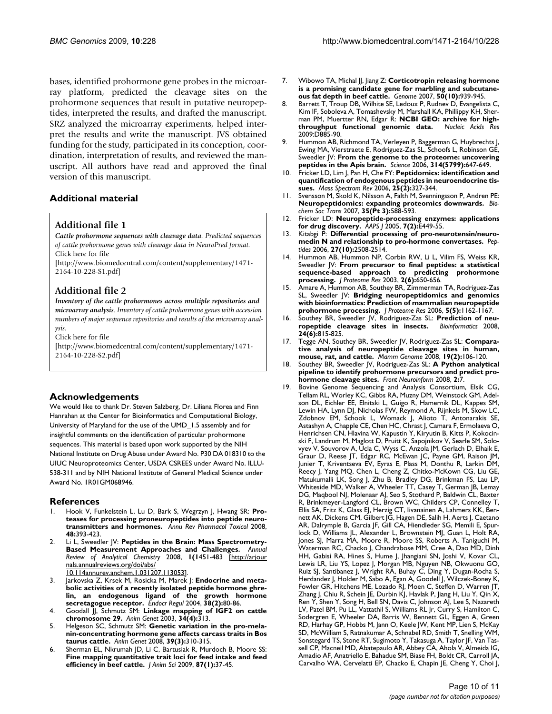bases, identified prohormone gene probes in the microarray platform, predicted the cleavage sites on the prohormone sequences that result in putative neuropeptides, interpreted the results, and drafted the manuscript. SRZ analyzed the microarray experiments, helped interpret the results and write the manuscript. JVS obtained funding for the study, participated in its conception, coordination, interpretation of results, and reviewed the manuscript. All authors have read and approved the final version of this manuscript.

# **Additional material**

#### <span id="page-9-15"></span>**Additional file 1**

*Cattle prohormone sequences with cleavage data. Predicted sequences of cattle prohormone genes with cleavage data in NeuroPred format.* Click here for file

[\[http://www.biomedcentral.com/content/supplementary/1471-](http://www.biomedcentral.com/content/supplementary/1471-2164-10-228-S1.pdf) 2164-10-228-S1.pdf]

# <span id="page-9-16"></span>**Additional file 2**

*Inventory of the cattle prohormones across multiple repositories and microarray analysis. Inventory of cattle prohormone genes with accession numbers of major sequence repositories and results of the microarray analysis.*

Click here for file

[\[http://www.biomedcentral.com/content/supplementary/1471-](http://www.biomedcentral.com/content/supplementary/1471-2164-10-228-S2.pdf) 2164-10-228-S2.pdf]

#### **Acknowledgements**

We would like to thank Dr. Steven Salzberg, Dr. Liliana Florea and Finn Hanrahan at the Center for Bioinformatics and Computational Biology, University of Maryland for the use of the UMD\_1.5 assembly and for insightful comments on the identification of particular prohormone sequences. This material is based upon work supported by the NIH National Institute on Drug Abuse under Award No. P30 DA 018310 to the UIUC Neuroproteomics Center, USDA CSREES under Award No. ILLU-538-311 and by NIH National Institute of General Medical Science under Award No. 1R01GM068946.

#### **References**

- <span id="page-9-0"></span>1. Hook V, Funkelstein L, Lu D, Bark S, Wegrzyn J, Hwang SR: **[Pro](http://www.ncbi.nlm.nih.gov/entrez/query.fcgi?cmd=Retrieve&db=PubMed&dopt=Abstract&list_uids=18184105)[teases for processing proneuropeptides into peptide neuro](http://www.ncbi.nlm.nih.gov/entrez/query.fcgi?cmd=Retrieve&db=PubMed&dopt=Abstract&list_uids=18184105)[transmitters and hormones.](http://www.ncbi.nlm.nih.gov/entrez/query.fcgi?cmd=Retrieve&db=PubMed&dopt=Abstract&list_uids=18184105)** *Annu Rev Pharmacol Toxicol* 2008, **48:**393-423.
- <span id="page-9-1"></span>Li L, Sweedler JV: Peptides in the Brain: Mass Spectrometry-**Based Measurement Approaches and Challenges.** *Annual Review of Analytical Chemistry* 2008, **1(1**451-483 [[http://arjour](http://arjournals.annualreviews.org/doi/abs/10.1146/annurev.anchem.1.031207.113053) [nals.annualreviews.org/doi/abs/](http://arjournals.annualreviews.org/doi/abs/10.1146/annurev.anchem.1.031207.113053) [10.114annurev.anchem.1.031207.113053\]](http://arjournals.annualreviews.org/doi/abs/10.1146/annurev.anchem.1.031207.113053).
- <span id="page-9-2"></span>3. Jarkovska Z, Krsek M, Rosicka M, Marek J: **[Endocrine and meta](http://www.ncbi.nlm.nih.gov/entrez/query.fcgi?cmd=Retrieve&db=PubMed&dopt=Abstract&list_uids=15497931)[bolic activities of a recently isolated peptide hormone ghre](http://www.ncbi.nlm.nih.gov/entrez/query.fcgi?cmd=Retrieve&db=PubMed&dopt=Abstract&list_uids=15497931)lin, an endogenous ligand of the growth hormone [secretagogue receptor.](http://www.ncbi.nlm.nih.gov/entrez/query.fcgi?cmd=Retrieve&db=PubMed&dopt=Abstract&list_uids=15497931)** *Endocr Regul* 2004, **38(2):**80-86.
- <span id="page-9-3"></span>4. Goodall JJ, Schmutz SM: **[Linkage mapping of IGF2 on cattle](http://www.ncbi.nlm.nih.gov/entrez/query.fcgi?cmd=Retrieve&db=PubMed&dopt=Abstract&list_uids=12873229) [chromosome 29.](http://www.ncbi.nlm.nih.gov/entrez/query.fcgi?cmd=Retrieve&db=PubMed&dopt=Abstract&list_uids=12873229)** *Anim Genet* 2003, **34(4):**313.
- 5. Helgeson SC, Schmutz SM: **[Genetic variation in the pro-mela](http://www.ncbi.nlm.nih.gov/entrez/query.fcgi?cmd=Retrieve&db=PubMed&dopt=Abstract&list_uids=18410474)[nin-concentrating hormone gene affects carcass traits in Bos](http://www.ncbi.nlm.nih.gov/entrez/query.fcgi?cmd=Retrieve&db=PubMed&dopt=Abstract&list_uids=18410474) [taurus cattle.](http://www.ncbi.nlm.nih.gov/entrez/query.fcgi?cmd=Retrieve&db=PubMed&dopt=Abstract&list_uids=18410474)** *Anim Genet* 2008, **39(3):**310-315.
- 6. Sherman EL, Nkrumah JD, Li C, Bartusiak R, Murdoch B, Moore SS: **[Fine mapping quantitative trait loci for feed intake and feed](http://www.ncbi.nlm.nih.gov/entrez/query.fcgi?cmd=Retrieve&db=PubMed&dopt=Abstract&list_uids=18791150) [efficiency in beef cattle.](http://www.ncbi.nlm.nih.gov/entrez/query.fcgi?cmd=Retrieve&db=PubMed&dopt=Abstract&list_uids=18791150)** *J Anim Sci* 2009, **87(1):**37-45.
- <span id="page-9-4"></span>7. Wibowo TA, Michal JJ, Jiang Z: **[Corticotropin releasing hormone](http://www.ncbi.nlm.nih.gov/entrez/query.fcgi?cmd=Retrieve&db=PubMed&dopt=Abstract&list_uids=18059556) [is a promising candidate gene for marbling and subcutane](http://www.ncbi.nlm.nih.gov/entrez/query.fcgi?cmd=Retrieve&db=PubMed&dopt=Abstract&list_uids=18059556)[ous fat depth in beef cattle.](http://www.ncbi.nlm.nih.gov/entrez/query.fcgi?cmd=Retrieve&db=PubMed&dopt=Abstract&list_uids=18059556)** *Genome* 2007, **50(10):**939-945.
- <span id="page-9-5"></span>8. Barrett T, Troup DB, Wilhite SE, Ledoux P, Rudnev D, Evangelista C, Kim IF, Soboleva A, Tomashevsky M, Marshall KA, Phillippy KH, Sherman PM, Muertter RN, Edgar R: **[NCBI GEO: archive for high](http://www.ncbi.nlm.nih.gov/entrez/query.fcgi?cmd=Retrieve&db=PubMed&dopt=Abstract&list_uids=18940857)[throughput functional genomic data.](http://www.ncbi.nlm.nih.gov/entrez/query.fcgi?cmd=Retrieve&db=PubMed&dopt=Abstract&list_uids=18940857)** *Nucleic Acids Res* 2009:D885-90.
- <span id="page-9-6"></span>9. Hummon AB, Richmond TA, Verleyen P, Baggerman G, Huybrechts J, Ewing MA, Vierstraete E, Rodriguez-Zas SL, Schoofs L, Robinson GE, Sweedler JV: **[From the genome to the proteome: uncovering](http://www.ncbi.nlm.nih.gov/entrez/query.fcgi?cmd=Retrieve&db=PubMed&dopt=Abstract&list_uids=17068263) [peptides in the Apis brain.](http://www.ncbi.nlm.nih.gov/entrez/query.fcgi?cmd=Retrieve&db=PubMed&dopt=Abstract&list_uids=17068263)** *Science* 2006, **314(5799):**647-649.
- 10. Fricker LD, Lim J, Pan H, Che FY: **[Peptidomics: identification and](http://www.ncbi.nlm.nih.gov/entrez/query.fcgi?cmd=Retrieve&db=PubMed&dopt=Abstract&list_uids=16404746) [quantification of endogenous peptides in neuroendocrine tis](http://www.ncbi.nlm.nih.gov/entrez/query.fcgi?cmd=Retrieve&db=PubMed&dopt=Abstract&list_uids=16404746)[sues.](http://www.ncbi.nlm.nih.gov/entrez/query.fcgi?cmd=Retrieve&db=PubMed&dopt=Abstract&list_uids=16404746)** *Mass Spectrom Rev* 2006, **25(2):**327-344.
- <span id="page-9-7"></span>11. Svensson M, Skold K, Nilsson A, Falth M, Svenningsson P, Andren PE: **[Neuropeptidomics: expanding proteomics downwards.](http://www.ncbi.nlm.nih.gov/entrez/query.fcgi?cmd=Retrieve&db=PubMed&dopt=Abstract&list_uids=17511658)** *Biochem Soc Trans* 2007, **35(Pt 3):**588-593.
- <span id="page-9-8"></span>12. Fricker LD: **[Neuropeptide-processing enzymes: applications](http://www.ncbi.nlm.nih.gov/entrez/query.fcgi?cmd=Retrieve&db=PubMed&dopt=Abstract&list_uids=16353923) [for drug discovery.](http://www.ncbi.nlm.nih.gov/entrez/query.fcgi?cmd=Retrieve&db=PubMed&dopt=Abstract&list_uids=16353923)** *AAPS J* 2005, **7(2):**E449-55.
- <span id="page-9-9"></span>13. Kitabgi P: **[Differential processing of pro-neurotensin/neuro](http://www.ncbi.nlm.nih.gov/entrez/query.fcgi?cmd=Retrieve&db=PubMed&dopt=Abstract&list_uids=16904237)[medin N and relationship to pro-hormone convertases.](http://www.ncbi.nlm.nih.gov/entrez/query.fcgi?cmd=Retrieve&db=PubMed&dopt=Abstract&list_uids=16904237)** *Peptides* 2006, **27(10):**2508-2514.
- <span id="page-9-10"></span>14. Hummon AB, Hummon NP, Corbin RW, Li L, Vilim FS, Weiss KR, Sweedler JV: **[From precursor to final peptides: a statistical](http://www.ncbi.nlm.nih.gov/entrez/query.fcgi?cmd=Retrieve&db=PubMed&dopt=Abstract&list_uids=14692459) [sequence-based approach to predicting prohormone](http://www.ncbi.nlm.nih.gov/entrez/query.fcgi?cmd=Retrieve&db=PubMed&dopt=Abstract&list_uids=14692459) [processing.](http://www.ncbi.nlm.nih.gov/entrez/query.fcgi?cmd=Retrieve&db=PubMed&dopt=Abstract&list_uids=14692459)** *J Proteome Res* 2003, **2(6):**650-656.
- <span id="page-9-13"></span>15. Amare A, Hummon AB, Southey BR, Zimmerman TA, Rodriguez-Zas SL, Sweedler JV: **[Bridging neuropeptidomics and genomics](http://www.ncbi.nlm.nih.gov/entrez/query.fcgi?cmd=Retrieve&db=PubMed&dopt=Abstract&list_uids=16674105) [with bioinformatics: Prediction of mammalian neuropeptide](http://www.ncbi.nlm.nih.gov/entrez/query.fcgi?cmd=Retrieve&db=PubMed&dopt=Abstract&list_uids=16674105) [prohormone processing.](http://www.ncbi.nlm.nih.gov/entrez/query.fcgi?cmd=Retrieve&db=PubMed&dopt=Abstract&list_uids=16674105)** *J Proteome Res* 2006, **5(5):**1162-1167.
- 16. Southey BR, Sweedler JV, Rodriguez-Zas SL: **[Prediction of neu](http://www.ncbi.nlm.nih.gov/entrez/query.fcgi?cmd=Retrieve&db=PubMed&dopt=Abstract&list_uids=18252740)[ropeptide cleavage sites in insects.](http://www.ncbi.nlm.nih.gov/entrez/query.fcgi?cmd=Retrieve&db=PubMed&dopt=Abstract&list_uids=18252740)** *Bioinformatics* 2008, **24(6):**815-825.
- <span id="page-9-14"></span>17. Tegge AN, Southey BR, Sweedler JV, Rodriguez-Zas SL: **[Compara](http://www.ncbi.nlm.nih.gov/entrez/query.fcgi?cmd=Retrieve&db=PubMed&dopt=Abstract&list_uids=18213482)[tive analysis of neuropeptide cleavage sites in human,](http://www.ncbi.nlm.nih.gov/entrez/query.fcgi?cmd=Retrieve&db=PubMed&dopt=Abstract&list_uids=18213482) [mouse, rat, and cattle.](http://www.ncbi.nlm.nih.gov/entrez/query.fcgi?cmd=Retrieve&db=PubMed&dopt=Abstract&list_uids=18213482)** *Mamm Genome* 2008, **19(2):**106-120.
- <span id="page-9-11"></span>18. Southey BR, Sweedler JV, Rodriguez-Zas SL: **A Python analytical pipeline to identify prohormone precursors and predict prohormone cleavage sites.** *Front Neuroinform* 2008, **2:**7.
- <span id="page-9-12"></span>Bovine Genome Sequencing and Analysis Consortium, Elsik CG, Tellam RL, Worley KC, Gibbs RA, Muzny DM, Weinstock GM, Adelson DL, Eichler EE, Elnitski L, Guigo R, Hamernik DL, Kappes SM, Lewin HA, Lynn DJ, Nicholas FW, Reymond A, Rijnkels M, Skow LC, Zdobnov EM, Schook L, Womack J, Alioto T, Antonarakis SE, Astashyn A, Chapple CE, Chen HC, Chrast J, Camara F, Ermolaeva O, Henrichsen CN, Hlavina W, Kapustin Y, Kiryutin B, Kitts P, Kokocinski F, Landrum M, Maglott D, Pruitt K, Sapojnikov V, Searle SM, Solovyev V, Souvorov A, Ucla C, Wyss C, Anzola JM, Gerlach D, Elhaik E, Graur D, Reese JT, Edgar RC, McEwan JC, Payne GM, Raison JM, Junier T, Kriventseva EV, Eyras E, Plass M, Donthu R, Larkin DM, Reecy J, Yang MQ, Chen L, Cheng Z, Chitko-McKown CG, Liu GE, Matukumalli LK, Song J, Zhu B, Bradley DG, Brinkman FS, Lau LP, Whiteside MD, Walker A, Wheeler TT, Casey T, German JB, Lemay DG, Maqbool NJ, Molenaar AJ, Seo S, Stothard P, Baldwin CL, Baxter R, Brinkmeyer-Langford CL, Brown WC, Childers CP, Connelley T, Ellis SA, Fritz K, Glass EJ, Herzig CT, Iivanainen A, Lahmers KK, Bennett AK, Dickens CM, Gilbert JG, Hagen DE, Salih H, Aerts J, Caetano AR, Dalrymple B, Garcia JF, Gill CA, Hiendleder SG, Memili E, Spurlock D, Williams JL, Alexander L, Brownstein MJ, Guan L, Holt RA, Jones SJ, Marra MA, Moore R, Moore SS, Roberts A, Taniguchi M, Waterman RC, Chacko J, Chandrabose MM, Cree A, Dao MD, Dinh HH, Gabisi RA, Hines S, Hume J, Jhangiani SN, Joshi V, Kovar CL, Lewis LR, Liu YS, Lopez J, Morgan MB, Nguyen NB, Okwuonu GO, Ruiz SJ, Santibanez J, Wright RA, Buhay C, Ding Y, Dugan-Rocha S, Herdandez J, Holder M, Sabo A, Egan A, Goodell J, Wilczek-Boney K, Fowler GR, Hitchens ME, Lozado RJ, Moen C, Steffen D, Warren JT, Zhang J, Chiu R, Schein JE, Durbin KJ, Havlak P, Jiang H, Liu Y, Qin X, Ren Y, Shen Y, Song H, Bell SN, Davis C, Johnson AJ, Lee S, Nazareth LV, Patel BM, Pu LL, Vattathil S, Williams RL Jr, Curry S, Hamilton C, Sodergren E, Wheeler DA, Barris W, Bennett GL, Eggen A, Green RD, Harhay GP, Hobbs M, Jann O, Keele JW, Kent MP, Lien S, McKay SD, McWilliam S, Ratnakumar A, Schnabel RD, Smith T, Snelling WM, Sonstegard TS, Stone RT, Sugimoto Y, Takasuga A, Taylor JF, Van Tassell CP, Macneil MD, Abatepaulo AR, Abbey CA, Ahola V, Almeida IG, Amadio AF, Anatriello E, Bahadue SM, Biase FH, Boldt CR, Carroll JA, Carvalho WA, Cervelatti EP, Chacko E, Chapin JE, Cheng Y, Choi J,